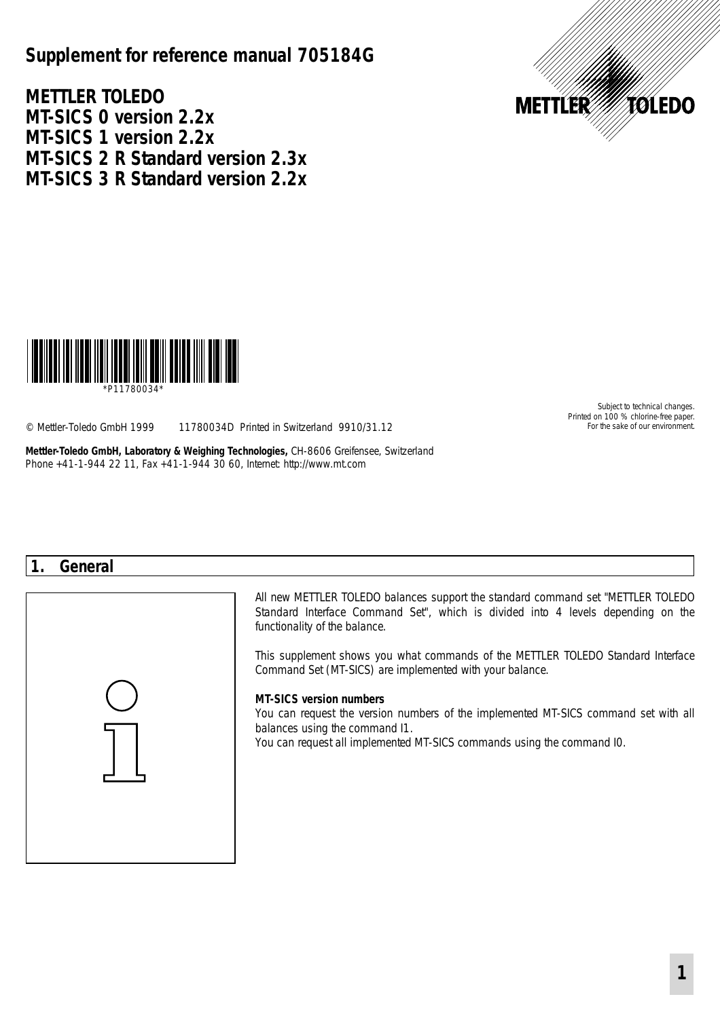# **Supplement for reference manual 705184G**

**METTLER TOLEDO MT-SICS 0 version 2.2x MT-SICS 1 version 2.2x MT-SICS 2 R Standard version 2.3x MT-SICS 3 R Standard version 2.2x**





\*P11780034\*

© Mettler-Toledo GmbH 1999 11780034D Printed in Switzerland 9910/31.12 For the sake of our environment

**Mettler-Toledo GmbH, Laboratory & Weighing Technologies,** CH-8606 Greifensee, Switzerland Phone +41-1-944 22 11, Fax +41-1-944 30 60, Internet: http://www.mt.com

Subject to technical changes. Printed on 100 % chlorine-free paper.

## **1. General**



All new METTLER TOLEDO balances support the standard command set "METTLER TOLEDO Standard Interface Command Set", which is divided into 4 levels depending on the functionality of the balance.

This supplement shows you what commands of the METTLER TOLEDO Standard Interface Command Set (MT-SICS) are implemented with your balance.

#### **MT-SICS version numbers**

You can request the version numbers of the implemented MT-SICS command set with all balances using the command I1.

You can request all implemented MT-SICS commands using the command I0.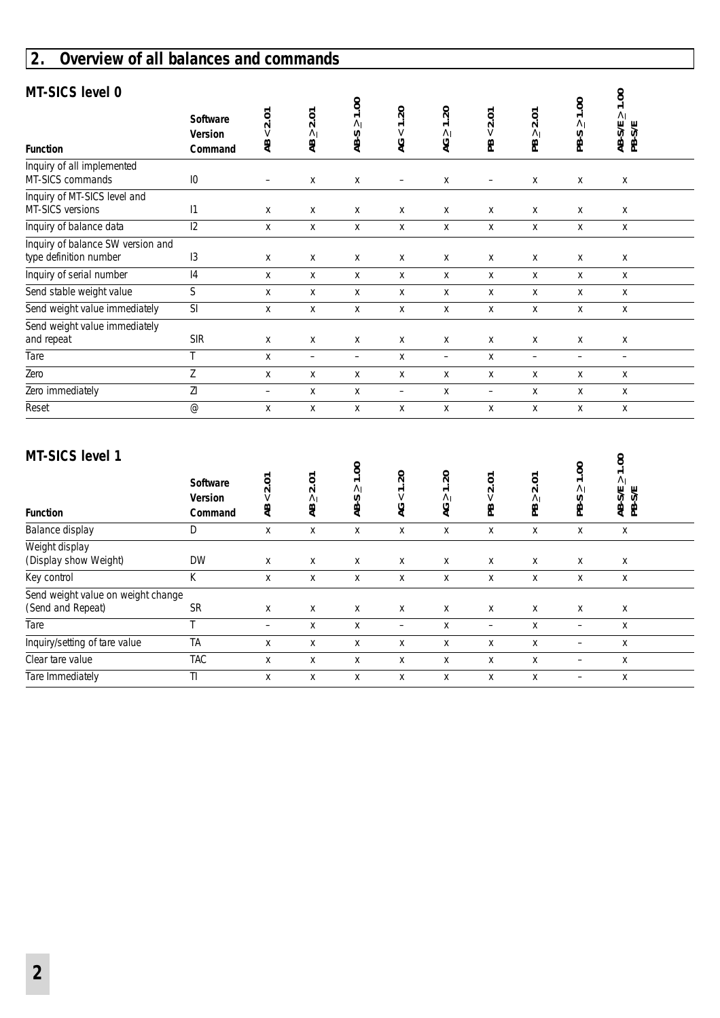# **2. Overview of all balances and commands**

| MT-SICS level 0<br><b>Function</b>                          | Software<br>Version<br>Command | < 2.01<br>æ           | 2.01<br>$\wedge$<br>æ  | $AB-S \ge 1.00$    | $< 1.20$<br>5            | $AC \ge 1.20$      | 2.01<br>$\vee$<br>æ | 2.01<br>$\wedge$<br>æ  | $PB-S \ge 1.00$    | $\frac{\text{AB-S/E}}{\text{PB-S/E}} \geq 1.00$ |  |
|-------------------------------------------------------------|--------------------------------|-----------------------|------------------------|--------------------|--------------------------|--------------------|---------------------|------------------------|--------------------|-------------------------------------------------|--|
| Inquiry of all implemented<br>MT-SICS commands              | 10                             | $\qquad \qquad -$     | Χ                      | Χ                  | $\qquad \qquad -$        | Χ                  | -                   | Χ                      | Χ                  | Χ                                               |  |
| Inquiry of MT-SICS level and<br>MT-SICS versions            | 1                              | Χ                     | Χ                      | Χ                  | Χ                        | Χ                  | Χ                   | X                      | Χ                  | Χ                                               |  |
| Inquiry of balance data                                     | $\overline{12}$                | $\mathsf{x}$          | X                      | $\mathsf{X}$       | $\mathsf{x}$             | $\mathsf{X}$       | X                   | X                      | X                  | $\mathsf{X}$                                    |  |
| Inquiry of balance SW version and<br>type definition number | 13                             | Χ                     | X                      | Χ                  | X                        | Χ                  | X                   | x                      | Χ                  | Χ                                               |  |
| Inquiry of serial number                                    | $\overline{14}$                | Χ                     | Χ                      | Χ                  | Χ                        | Χ                  | Χ                   | X                      | Χ                  | Χ                                               |  |
| Send stable weight value                                    | $\mathsf S$                    | X                     | Χ                      | X                  | X                        | Χ                  | X                   | X                      | X                  | X                                               |  |
| Send weight value immediately                               | SI                             | Χ                     | Χ                      | Χ                  | Χ                        | Χ                  | Χ                   | X                      | Χ                  | Χ                                               |  |
| Send weight value immediately<br>and repeat                 | <b>SIR</b>                     | X                     | X                      | X                  | X                        | X                  | X                   | X                      | x                  | x                                               |  |
| Tare                                                        | T                              | X                     | $\qquad \qquad -$      | $\equiv$           | X                        | $\qquad \qquad -$  | X                   | $\qquad \qquad -$      | $\qquad \qquad -$  | $\qquad \qquad -$                               |  |
| Zero                                                        | $\overline{Z}$                 | Χ                     | Χ                      | Χ                  | Χ                        | Χ                  | Χ                   | Χ                      | Χ                  | Χ                                               |  |
| Zero immediately                                            | $\overline{Z}$                 | $\qquad \qquad -$     | Χ                      | Χ                  | $\qquad \qquad -$        | Χ                  | $\qquad \qquad -$   | Χ                      | Χ                  | Χ                                               |  |
| Reset                                                       | $\overline{\omega}$            | Χ                     | X                      | Χ                  | X                        | Χ                  | X                   | X                      | Χ                  | Χ                                               |  |
| <b>MT-SICS level 1</b><br><b>Function</b>                   | Software<br>Version<br>Command | 2.01<br>$\vee$<br>Ä₿. | 2.01<br>$\Lambda$<br>æ | $AB-S \ge 1.00$    | < 1.20<br>হ              | $\geq 1.20$<br>Q   | 2.01<br>$\vee$<br>ஐ | 2.01<br>$\wedge$<br>έÄ | $PB-S \geq 1.00$   | $\frac{\text{AB-S/E}}{\text{PB-S/E}} \geq 1.00$ |  |
| Balance display                                             | $\mathsf D$                    | $\pmb{\mathsf{X}}$    | X                      | $\pmb{\mathsf{X}}$ | $\pmb{\mathsf{X}}$       | $\pmb{\mathsf{X}}$ | X                   | X                      | X                  | Χ                                               |  |
| Weight display<br>(Display show Weight)                     | <b>DW</b>                      | Χ                     | Χ                      | Χ                  | Χ                        | Χ                  | Χ                   | Χ                      | Χ                  | Χ                                               |  |
| Key control                                                 | K                              | X                     | X                      | X                  | $\pmb{\mathsf{X}}$       | X                  | X                   | X                      | $\pmb{\mathsf{X}}$ | X                                               |  |
| Send weight value on weight change<br>(Send and Repeat)     | ${\sf SR}$                     | X                     | X                      | X                  | X                        | X                  | X                   | X                      | x                  | X                                               |  |
| Tare                                                        | $\overline{\mathsf{T}}$        | $\qquad \qquad -$     | X                      | X                  | $\overline{\phantom{a}}$ | Χ                  | $\qquad \qquad -$   | X                      | $\qquad \qquad -$  | X                                               |  |
| Inquiry/setting of tare value                               | <b>TA</b>                      | Χ                     | Χ                      | Χ                  | Χ                        | Χ                  | Χ                   | Χ                      | $\qquad \qquad -$  | Χ                                               |  |
| Clear tare value                                            | <b>TAC</b>                     | Χ                     | X                      | Χ                  | X                        | Χ                  | Χ                   | Χ                      | $\qquad \qquad -$  | Χ                                               |  |
| Tare Immediately                                            | TI.                            | X                     | X                      | X                  | X                        | X                  | X                   | X                      | $\qquad \qquad -$  | X                                               |  |

### **MT-SICS level 1**

| <b>Function</b>                                         | Software<br><b>Version</b><br>Command | 2.01<br>$\vee$<br>æ | ξ<br>$\sim$<br>$\wedge$<br>æ | g<br>$\overline{\phantom{0}}$<br>$\wedge$<br>∽ု<br>₽ġ | $\Omega$<br>V<br>S | $\overline{\mathcal{S}}$<br>$\overline{\phantom{0}}$<br>$\wedge$<br>್ನ | $\overline{5}$<br>$\sim$<br>V<br>æ | Ĕ<br>$\sim$<br>$\wedge$<br>운 | 00.1<br>$\wedge$<br>S<br>ஐ | $\tilde{\phantom{a}}$<br>$\overline{\phantom{0}}$<br>$\wedge$<br><b>SK</b><br>受 岛 |  |
|---------------------------------------------------------|---------------------------------------|---------------------|------------------------------|-------------------------------------------------------|--------------------|------------------------------------------------------------------------|------------------------------------|------------------------------|----------------------------|-----------------------------------------------------------------------------------|--|
| Balance display                                         | D                                     | х                   | х                            | х                                                     | X                  | X                                                                      | X                                  | X                            | х                          | Χ                                                                                 |  |
| Weight display<br>(Display show Weight)                 | <b>DW</b>                             | X                   | X                            | X                                                     | X                  | X                                                                      | X                                  | X                            | X                          | Χ                                                                                 |  |
| Key control                                             | К                                     | X                   | X                            | X                                                     | X                  | X                                                                      | X                                  | Χ                            | X                          | Χ                                                                                 |  |
| Send weight value on weight change<br>(Send and Repeat) | <b>SR</b>                             | X                   | X                            | X                                                     | X                  | X                                                                      | X                                  | X                            | X                          | X                                                                                 |  |
| Tare                                                    |                                       | -                   | X                            | X                                                     | -                  | X                                                                      | -                                  | X                            | -                          | X                                                                                 |  |
| Inquiry/setting of tare value                           | TA                                    | Х                   | х                            | x                                                     | Х                  | X                                                                      | х                                  | Χ                            |                            | X                                                                                 |  |
| Clear tare value                                        | <b>TAC</b>                            | X                   | X                            | X                                                     | X                  | X                                                                      | X                                  | X                            |                            | X                                                                                 |  |
| Tare Immediately                                        | $\mathbb{I}$                          | X                   | х                            | X                                                     | X                  | X                                                                      | X                                  | X                            | -                          | Χ                                                                                 |  |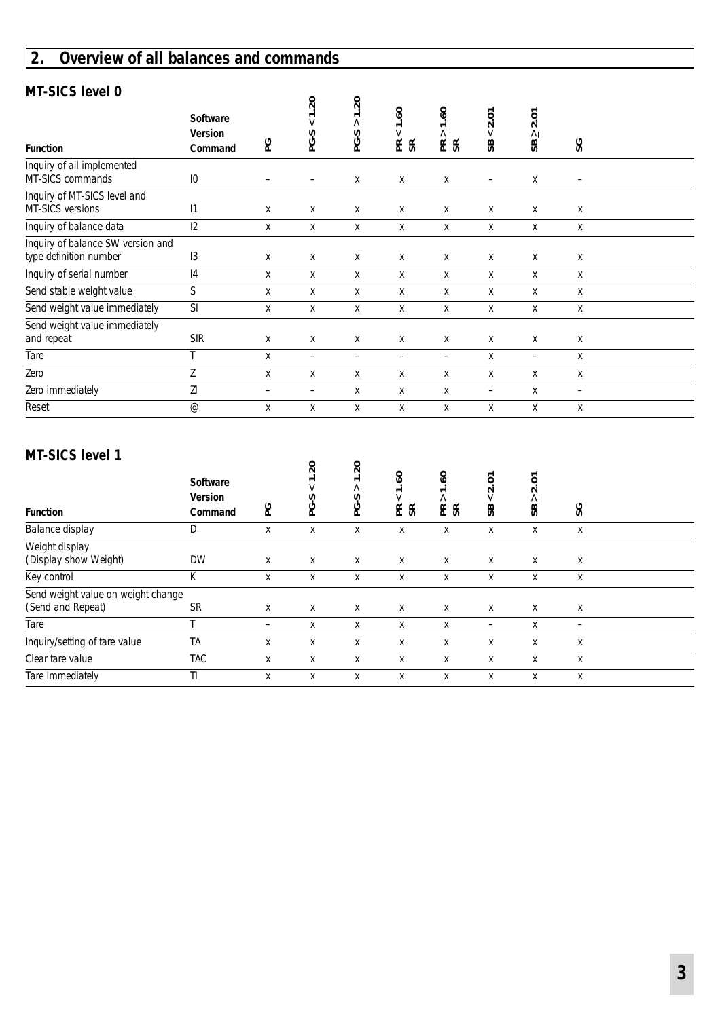# **2. Overview of all balances and commands**

## **MT-SICS level 0**

| ט וטעט נטענ-וויו                                            |                                              |                 | 20             | $\overline{5}$                                |                                                                    |                                                                    |                      |                        |    |  |
|-------------------------------------------------------------|----------------------------------------------|-----------------|----------------|-----------------------------------------------|--------------------------------------------------------------------|--------------------------------------------------------------------|----------------------|------------------------|----|--|
| <b>Function</b>                                             | <b>Software</b><br><b>Version</b><br>Command | ဥ               | $\vee$<br>PG-S | $\overline{\phantom{0}}$<br>$\Lambda$<br>PG-S | $\mathbf{e}$<br>$\overline{\phantom{0}}$<br>$\vee$<br>$E_{\alpha}$ | $\ddot{\mathbf{e}}$<br>$\overline{\phantom{0}}$<br>$\wedge$<br>E & | 2.01<br>$\vee$<br>SB | 2.01<br>$\wedge$<br>SB | SG |  |
| Inquiry of all implemented<br>MT-SICS commands              | $\overline{10}$                              |                 |                | X                                             | X                                                                  | X                                                                  |                      | X                      |    |  |
|                                                             |                                              |                 |                |                                               |                                                                    |                                                                    |                      |                        |    |  |
| Inquiry of MT-SICS level and<br>MT-SICS versions            | 1                                            | X               | X              | X                                             | X                                                                  | X                                                                  | X                    | X                      | X  |  |
| Inquiry of balance data                                     | 12                                           | X               | X              | X                                             | X                                                                  | X                                                                  | X                    | X                      | X  |  |
| Inquiry of balance SW version and<br>type definition number | 13                                           | X               | X              | X                                             | X                                                                  | X                                                                  | X                    | X                      | x  |  |
| Inquiry of serial number                                    | 4                                            | X               | X              | X                                             | Χ                                                                  | X                                                                  | X                    | X                      | X  |  |
| Send stable weight value                                    | $\mathsf S$                                  | X               | X              | X                                             | X                                                                  | X                                                                  | X                    | X                      | X  |  |
| Send weight value immediately                               | SI                                           | X               | X              | X                                             | Χ                                                                  | Χ                                                                  | X                    | X                      | X  |  |
| Send weight value immediately<br>and repeat                 | <b>SIR</b>                                   | X               | X              | X                                             | X                                                                  | X                                                                  | X                    | X                      | X  |  |
| Tare                                                        |                                              | X               | -              | -                                             | -                                                                  | $\overline{\phantom{0}}$                                           | X                    | Ξ.                     | X  |  |
| Zero                                                        | Z                                            | X               | X              | X                                             | X                                                                  | X                                                                  | X                    | X                      | X  |  |
| Zero immediately                                            | ΖI                                           | $\qquad \qquad$ | -              | X                                             | X                                                                  | X                                                                  | -                    | X                      | Ξ. |  |
| Reset                                                       | $^{\circledR}$                               | X               | X              | X                                             | X                                                                  | X                                                                  | X                    | X                      | X  |  |

### **MT-SICS level 1**

| IVII VIVVIIVI I<br><b>Function</b>                      | Software<br>Version<br>Command | ဥ | 20<br>$\overline{\phantom{0}}$<br>V<br>PG-S | $\overline{\mathcal{S}}$<br>一<br>$\wedge$<br>ပှ<br>ڧ | $\mathbf{e}$<br>$\overline{\phantom{0}}$<br>$\vee$<br>ER | $\mathbf{e}$<br>$\overline{ }$<br>$\wedge$<br>$E$ $E$ | Š<br>$\sim$<br>$\vee$<br>SB | Š<br>$\sim$<br>$\wedge$<br>æ | SG |  |
|---------------------------------------------------------|--------------------------------|---|---------------------------------------------|------------------------------------------------------|----------------------------------------------------------|-------------------------------------------------------|-----------------------------|------------------------------|----|--|
| Balance display                                         | D                              | X | X                                           | X                                                    | X                                                        | X                                                     | X                           | X                            | X  |  |
| Weight display<br>(Display show Weight)                 | <b>DW</b>                      | X | X                                           | X                                                    | X                                                        | X                                                     | X                           | X                            | X  |  |
| Key control                                             | К                              | X | X                                           | X                                                    | X                                                        | X                                                     | X                           | X                            | X  |  |
| Send weight value on weight change<br>(Send and Repeat) | <b>SR</b>                      | X | X                                           | X                                                    | X                                                        | X                                                     | X                           | X                            | X  |  |
| Tare                                                    | $\overline{\phantom{a}}$       | - | X                                           | X                                                    | X                                                        | X                                                     | -                           | X                            |    |  |
| Inquiry/setting of tare value                           | <b>TA</b>                      | X | х                                           | X                                                    | X                                                        | X                                                     | X                           | X                            | X  |  |
| Clear tare value                                        | <b>TAC</b>                     | X | X                                           | X                                                    | X                                                        | X                                                     | X                           | X                            | X  |  |
| Tare Immediately                                        | TI.                            | х | х                                           | Х                                                    | х                                                        | х                                                     | х                           | х                            | X  |  |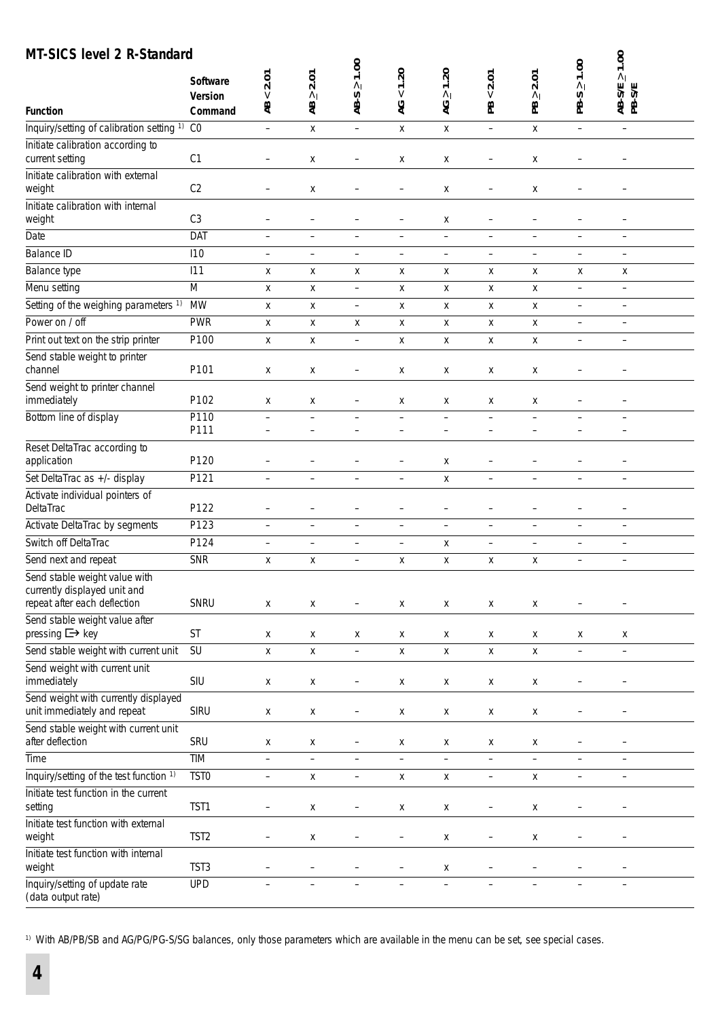## **MT-SICS level 2 R-Standard**

| <b>MT-SICS level 2 R-Standard</b>                                                             | Software         | 2.01                     | 2.01                     | $\geq 1.00$              | 1.20                     | 1.20                     | 2.01                     | 2.01                     | 1.00                     | 1.00<br>$\wedge$         |
|-----------------------------------------------------------------------------------------------|------------------|--------------------------|--------------------------|--------------------------|--------------------------|--------------------------|--------------------------|--------------------------|--------------------------|--------------------------|
|                                                                                               | Version          | $\vee$                   | $\Lambda$                |                          | $\vee$                   | $\wedge$                 | $\vee$                   | $\wedge$                 | $\overline{\wedge}$      | AB-S/E                   |
| <b>Function</b>                                                                               | Command          | æ                        | æ                        | AB-S                     | 9                        | 9                        | æ                        | æ                        | PB-S                     |                          |
| Inquiry/setting of calibration setting 1)                                                     | CO               | $\equiv$                 | X                        | $\equiv$                 | $\pmb{\mathsf{X}}$       | $\pmb{\mathsf{X}}$       | $\overline{\phantom{a}}$ | X                        | $\qquad \qquad -$        | $\qquad \qquad -$        |
| Initiate calibration according to<br>current setting                                          | C1               | $\qquad \qquad -$        | X                        | -                        | X                        | X                        | -                        | x                        |                          |                          |
| Initiate calibration with external<br>weight                                                  | C <sub>2</sub>   | $\overline{\phantom{m}}$ | Χ                        | -                        | -                        | Х                        | -                        | Χ                        | $\overline{\phantom{0}}$ |                          |
| Initiate calibration with internal<br>weight                                                  | C <sub>3</sub>   | $\qquad \qquad -$        | -                        | -                        | -                        | х                        | -                        | -                        | -                        |                          |
| Date                                                                                          | DAT              | $\qquad \qquad -$        | $\qquad \qquad -$        | $\qquad \qquad -$        | $\overline{\phantom{0}}$ | $\overline{\phantom{0}}$ | $\qquad \qquad -$        | $\overline{\phantom{0}}$ | $\qquad \qquad -$        | $\qquad \qquad -$        |
| <b>Balance ID</b>                                                                             | 110              | $\overline{\phantom{a}}$ | $\qquad \qquad -$        | $\qquad \qquad -$        | -                        | $\overline{\phantom{0}}$ | $\qquad \qquad -$        | $\qquad \qquad -$        | $\qquad \qquad -$        | $\overline{\phantom{a}}$ |
| Balance type                                                                                  | 111              | X                        | X                        | X                        | X                        | X                        | X                        | X                        | X                        | X                        |
| Menu setting                                                                                  | M                | Χ                        | Χ                        | $\qquad \qquad -$        | X                        | X                        | X                        | Χ                        | $\qquad \qquad -$        | $\qquad \qquad -$        |
| Setting of the weighing parameters 1)                                                         | <b>MW</b>        | X                        | Χ                        | $\qquad \qquad -$        | $\pmb{\mathsf{X}}$       | $\pmb{\mathsf{X}}$       | X                        | Χ                        | $\qquad \qquad -$        | $\qquad \qquad -$        |
| Power on / off                                                                                | <b>PWR</b>       | Χ                        | Χ                        | Χ                        | Χ                        | X                        | X                        | Χ                        | $\qquad \qquad -$        | $\qquad \qquad -$        |
| Print out text on the strip printer                                                           | P100             | Χ                        | Χ                        | $\qquad \qquad -$        | X                        | $\pmb{\mathsf{X}}$       | X                        | Χ                        | $\qquad \qquad -$        | $\qquad \qquad -$        |
| Send stable weight to printer<br>channel                                                      | P101             | X                        | Χ                        | $\qquad \qquad -$        | X                        | X                        | X                        | X                        | $\qquad \qquad -$        | $\qquad \qquad -$        |
| Send weight to printer channel<br>immediately                                                 | P102             | X                        | Χ                        | $\qquad \qquad -$        | X                        | X                        | X                        | X                        | -                        | $\qquad \qquad -$        |
| Bottom line of display                                                                        | P110             |                          |                          | $\equiv$                 |                          | $\overline{a}$           |                          | $\overline{\phantom{0}}$ |                          |                          |
|                                                                                               | P111             | $\overline{\phantom{0}}$ |                          | ۰                        | -                        | -                        |                          | $\overline{\phantom{0}}$ |                          | $\overline{\phantom{0}}$ |
| Reset DeltaTrac according to<br>application                                                   | P120             |                          |                          | ۰                        | -                        | Χ                        |                          |                          |                          |                          |
| Set DeltaTrac as +/- display                                                                  | P121             | $\qquad \qquad -$        | $\qquad \qquad -$        | $\qquad \qquad -$        | $\overline{\phantom{0}}$ | X                        | $\overline{\phantom{0}}$ | $\qquad \qquad -$        | $\qquad \qquad -$        | $\qquad \qquad -$        |
| Activate individual pointers of<br>DeltaTrac                                                  | P122             | $\overline{\phantom{a}}$ | -                        | -                        | -                        | -                        | -                        | -                        | $\overline{\phantom{0}}$ | -                        |
| Activate DeltaTrac by segments                                                                | P123             | $\overline{\phantom{a}}$ | $\qquad \qquad -$        | $\qquad \qquad -$        | $\overline{\phantom{0}}$ | $\overline{\phantom{0}}$ | $\qquad \qquad -$        | $\qquad \qquad -$        | $\qquad \qquad -$        | $\qquad \qquad -$        |
| Switch off DeltaTrac                                                                          | P124             | $\overline{\phantom{a}}$ | $\qquad \qquad -$        | $\qquad \qquad -$        | $\overline{\phantom{0}}$ | X                        | $\qquad \qquad -$        | $\qquad \qquad -$        | $\qquad \qquad -$        | $\qquad \qquad -$        |
| Send next and repeat                                                                          | SNR              | Χ                        | Χ                        | -                        | X                        | X                        | X                        | Χ                        | $\qquad \qquad -$        | $\overline{\phantom{a}}$ |
| Send stable weight value with<br>currently displayed unit and<br>repeat after each deflection | SNRU             | X                        | Χ                        | $\qquad \qquad -$        | X                        | X                        | X                        | X                        |                          |                          |
| Send stable weight value after<br>pressing $\Box$ key                                         | ST               | Χ                        | X                        | Χ                        | X                        | X                        | X                        | X                        | X                        | X                        |
| Send stable weight with current unit                                                          | SU               | X                        | Χ                        | $\qquad \qquad -$        | $\pmb{\mathsf{X}}$       | $\mathsf X$              | $\mathsf X$              | X                        | $\qquad \qquad -$        | $\qquad \qquad -$        |
| Send weight with current unit<br>immediately                                                  | SIU              | Χ                        | Χ                        | $\qquad \qquad -$        | X                        | X                        | X                        | Χ                        | $\qquad \qquad -$        | $\qquad \qquad -$        |
| Send weight with currently displayed<br>unit immediately and repeat                           | <b>SIRU</b>      | X                        | Χ                        | -                        | X                        | X                        | $\mathsf X$              | Χ                        | -                        | $\qquad \qquad -$        |
| Send stable weight with current unit<br>after deflection                                      | SRU              | Χ                        | Χ                        | $\qquad \qquad -$        | X                        | X                        | X                        | Χ                        | -                        | $\qquad \qquad -$        |
| Time                                                                                          | TIM              | $\qquad \qquad -$        | $\overline{\phantom{0}}$ | $\overline{a}$           | $\overline{\phantom{0}}$ | $\overline{\phantom{0}}$ | $\overline{\phantom{0}}$ | $\overline{\phantom{0}}$ | $\qquad \qquad -$        | $\overline{\phantom{0}}$ |
| Inquiry/setting of the test function 1)                                                       | TST <sub>0</sub> | $\qquad \qquad -$        | Χ                        | $\qquad \qquad -$        | X                        | $\mathsf X$              | $\overline{\phantom{0}}$ | X                        | $\qquad \qquad -$        | $\qquad \qquad -$        |
| Initiate test function in the current<br>setting                                              | TST1             | $\overline{\phantom{a}}$ | Χ                        | -                        | X                        | X                        | $\qquad \qquad -$        | Χ                        | $\qquad \qquad -$        | -                        |
| Initiate test function with external<br>weight                                                | TST <sub>2</sub> | $\qquad \qquad -$        | Χ                        | -                        | $\overline{\phantom{0}}$ | $\pmb{\mathsf{X}}$       | $\overline{\phantom{0}}$ | Χ                        | $\qquad \qquad -$        | -                        |
| Initiate test function with internal<br>weight                                                | TST3             | $\qquad \qquad -$        | $\overline{\phantom{0}}$ | $\overline{\phantom{0}}$ | -                        | $\pmb{\mathsf{X}}$       | $\overline{\phantom{0}}$ |                          | $\overline{\phantom{0}}$ | $\overline{\phantom{0}}$ |
| Inquiry/setting of update rate<br>(data output rate)                                          | <b>UPD</b>       | $\qquad \qquad -$        | $\qquad \qquad -$        | $\overline{\phantom{0}}$ | -                        | $\qquad \qquad -$        | $\overline{a}$           | $\qquad \qquad -$        | $\qquad \qquad -$        | $\qquad \qquad -$        |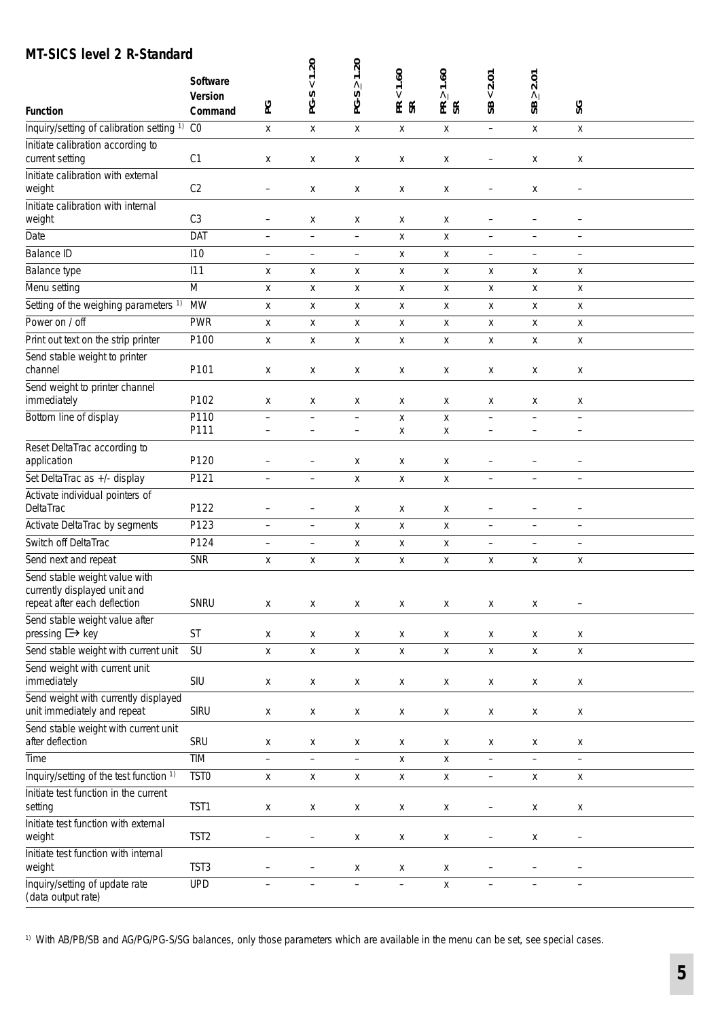## **MT-SICS level 2 R-Standard**

| וטטוניז ב וליטונט<br><b>Function</b>                                                                                  | Software<br><b>Version</b><br>Command | ဥ                                    | 1.20<br>PG-S                           | 1.20<br>$\wedge$<br>PG-S             | 1.60<br>$\vee$<br>E &   | 1.60<br>$\Lambda$<br>E & | 2.01<br>$\vee$<br>SB                          | 2.01<br>$\wedge$<br>SB              | SG                                     |  |
|-----------------------------------------------------------------------------------------------------------------------|---------------------------------------|--------------------------------------|----------------------------------------|--------------------------------------|-------------------------|--------------------------|-----------------------------------------------|-------------------------------------|----------------------------------------|--|
| Inquiry/setting of calibration setting <sup>1)</sup> CO                                                               |                                       | X                                    | X                                      | X                                    | X                       | X                        | $\equiv$                                      | X                                   | X                                      |  |
| Initiate calibration according to<br>current setting                                                                  | C1                                    | X                                    | Χ                                      | х                                    | X                       | x                        | -                                             | X                                   | X                                      |  |
| Initiate calibration with external<br>weight                                                                          | C2                                    | $\qquad \qquad -$                    | X                                      | Χ                                    | X                       | Χ                        | -                                             | Χ                                   | $\qquad \qquad -$                      |  |
| Initiate calibration with internal<br>weight                                                                          | C <sub>3</sub>                        | $\qquad \qquad -$                    | X                                      | X                                    | X                       | x                        | -                                             | $\qquad \qquad -$                   | $\qquad \qquad -$                      |  |
| Date                                                                                                                  | DAT                                   | $\qquad \qquad -$                    | $\qquad \qquad -$                      | $\hspace{0.1in} - \hspace{0.1in}$    | X                       | X                        | $\qquad \qquad -$                             | $\qquad \qquad -$                   | $\overline{\phantom{0}}$               |  |
| <b>Balance ID</b>                                                                                                     | 110                                   | $\overline{\phantom{a}}$             | $\overline{\phantom{m}}$               | $\overline{\phantom{a}}$             | X                       | X                        | $\overline{\phantom{0}}$                      | $\qquad \qquad -$                   | $\qquad \qquad -$                      |  |
| Balance type                                                                                                          | 111                                   | X                                    | X                                      | X                                    | X                       | X                        | X                                             | X                                   | X                                      |  |
| Menu setting                                                                                                          | M                                     | X                                    | X                                      | Χ                                    | X                       | Χ                        | X                                             | X                                   | $\mathsf{X}$                           |  |
| Setting of the weighing parameters 1)                                                                                 | <b>MW</b>                             | X                                    | X                                      | Χ                                    | X                       | X                        | Χ                                             | X                                   | X                                      |  |
| Power on / off                                                                                                        | <b>PWR</b>                            | X                                    | Χ                                      | X                                    | X                       | X                        | Χ                                             | X                                   | X                                      |  |
| Print out text on the strip printer                                                                                   | P100                                  | X                                    | X                                      | Χ                                    | X                       | X                        | X                                             | X                                   | X                                      |  |
| Send stable weight to printer<br>channel                                                                              | P101                                  | X                                    | X                                      | X                                    | X                       | Χ                        | X                                             | X                                   | X                                      |  |
| Send weight to printer channel<br>immediately                                                                         | P102                                  | X                                    | X                                      | X                                    | Х                       | X                        | X                                             | X                                   | X                                      |  |
| Bottom line of display                                                                                                | P110<br>P111                          | $\equiv$<br>$\overline{\phantom{m}}$ | $\qquad \qquad -$<br>$\qquad \qquad -$ | $\equiv$<br>$\overline{\phantom{m}}$ | $\pmb{\mathsf{X}}$<br>X | X<br>X                   | $\overline{\phantom{0}}$<br>$\qquad \qquad -$ | $\overline{a}$<br>$\qquad \qquad -$ | $\qquad \qquad -$<br>$\qquad \qquad -$ |  |
| Reset DeltaTrac according to<br>application                                                                           | P120                                  | $\overline{\phantom{0}}$             |                                        | X                                    | Χ                       | X                        |                                               |                                     | -                                      |  |
| Set DeltaTrac as +/- display                                                                                          | P121                                  | $\qquad \qquad -$                    | $\qquad \qquad -$                      | X                                    | X                       | X                        | $\overline{\phantom{0}}$                      | $\qquad \qquad -$                   | $\qquad \qquad -$                      |  |
| Activate individual pointers of                                                                                       |                                       |                                      |                                        |                                      |                         |                          |                                               |                                     |                                        |  |
| DeltaTrac                                                                                                             | P122                                  | $\qquad \qquad -$                    | $\qquad \qquad -$                      | Χ                                    | X                       | Χ                        | -                                             | $\qquad \qquad -$                   | $\qquad \qquad -$                      |  |
| Activate DeltaTrac by segments                                                                                        | P123                                  | $\overline{\phantom{a}}$             | $\overline{\phantom{m}}$               | X                                    | X                       | X                        | $\overline{\phantom{0}}$                      | $\overline{\phantom{a}}$            | $\qquad \qquad -$                      |  |
| Switch off DeltaTrac                                                                                                  | P124                                  | $\overline{\phantom{m}}$             | $\qquad \qquad -$                      | Χ                                    | X                       | X                        | $\qquad \qquad -$                             | $\qquad \qquad -$                   | $\qquad \qquad -$                      |  |
| Send next and repeat<br>Send stable weight value with<br>currently displayed unit and<br>repeat after each deflection | <b>SNR</b><br>SNRU                    | X<br>X                               | X<br>X                                 | X<br>X                               | X<br>X                  | X<br>x                   | X<br>X                                        | X<br>X                              | X<br>$\qquad \qquad -$                 |  |
| Send stable weight value after<br>pressing $\Box$ key                                                                 | ST                                    | X                                    | X                                      | X                                    | X                       | x                        | X                                             | X                                   | X                                      |  |
| Send stable weight with current unit                                                                                  | SU                                    | X                                    | X                                      | $\pmb{\mathsf{X}}$                   | $\pmb{\mathsf{X}}$      | Χ                        | $\mathsf X$                                   | $\mathsf X$                         | X                                      |  |
| Send weight with current unit<br>immediately                                                                          | SIU                                   | X                                    | X                                      | Χ                                    | X                       | x                        | X                                             | X                                   | X                                      |  |
| Send weight with currently displayed<br>unit immediately and repeat                                                   | <b>SIRU</b>                           | X                                    | X                                      | X                                    | X                       | X                        | X                                             | X                                   | X                                      |  |
| Send stable weight with current unit<br>after deflection                                                              | SRU                                   | X                                    | X                                      | X                                    | X                       | x                        | X                                             | X                                   | X                                      |  |
| Time                                                                                                                  | TIM                                   | $\qquad \qquad -$                    | $\overline{\phantom{0}}$               | $\overline{\phantom{a}}$             | X                       | X                        | $\overline{\phantom{0}}$                      | $\overline{\phantom{a}}$            | $\overline{\phantom{0}}$               |  |
| Inquiry/setting of the test function 1)                                                                               | TST <sub>0</sub>                      | X                                    | $\mathsf X$                            | X                                    | X                       | X                        | $\qquad \qquad -$                             | X                                   | X                                      |  |
| Initiate test function in the current                                                                                 |                                       |                                      |                                        |                                      |                         |                          |                                               |                                     |                                        |  |
| setting                                                                                                               | TST1                                  | X                                    | X                                      | X                                    | X                       | x                        | -                                             | X                                   | X                                      |  |
| Initiate test function with external<br>weight                                                                        | TST <sub>2</sub>                      | $\overline{\phantom{a}}$             | $\qquad \qquad -$                      | X                                    | X                       | X                        | $\overline{\phantom{0}}$                      | X                                   | $\qquad \qquad -$                      |  |
| Initiate test function with internal<br>weight                                                                        | TST3                                  | $\qquad \qquad -$                    | $\qquad \qquad -$                      | X                                    | X                       | X                        | -                                             | $\overline{\phantom{0}}$            | -                                      |  |
| Inquiry/setting of update rate<br>(data output rate)                                                                  | <b>UPD</b>                            | $\overline{\phantom{0}}$             | $\overline{\phantom{0}}$               | $\equiv$                             | $\qquad \qquad -$       | X                        | $\overline{\phantom{0}}$                      | $\overline{\phantom{0}}$            | $\overline{\phantom{0}}$               |  |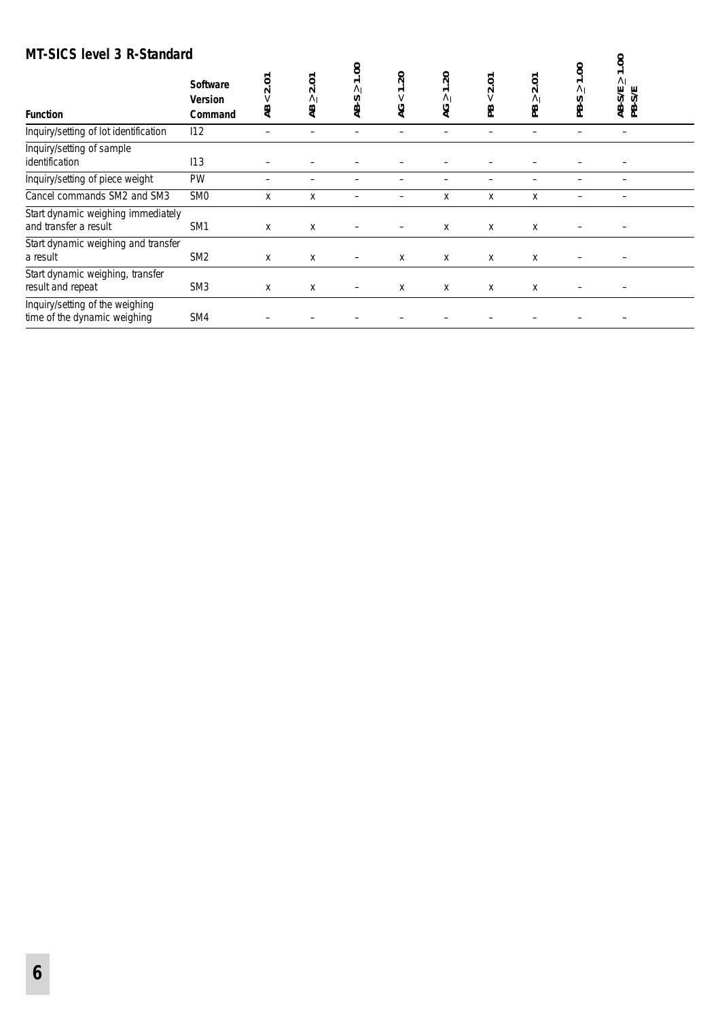### **MT-SICS level 3 R-Standard**

| MI-SICS level 3 R-Standard                                      |                                              |                     |                       |                              |                         |                                        |                  |                              |                                                      | 00.1                            |  |
|-----------------------------------------------------------------|----------------------------------------------|---------------------|-----------------------|------------------------------|-------------------------|----------------------------------------|------------------|------------------------------|------------------------------------------------------|---------------------------------|--|
| <b>Function</b>                                                 | <b>Software</b><br><b>Version</b><br>Command | 2.01<br>$\vee$<br>æ | 2.01<br>$\wedge$<br>æ | 1.00<br>$\wedge$<br>n<br>AB. | $\Omega$<br>$\vee$<br>9 | 50<br>$\overline{ }$<br>$\wedge$<br>9À | ξ<br>$\sim$<br>æ | ā<br>$\sim$<br>$\wedge$<br>æ | S.<br>$\overline{\phantom{0}}$<br>$\wedge$<br>S<br>உ | $\wedge$<br><b>SE</b><br>受<br>受 |  |
| Inquiry/setting of lot identification                           | 112                                          |                     |                       |                              |                         |                                        |                  |                              |                                                      |                                 |  |
| Inquiry/setting of sample<br>identification                     | 113                                          |                     |                       |                              |                         |                                        |                  |                              |                                                      |                                 |  |
| Inquiry/setting of piece weight                                 | PW                                           |                     |                       |                              |                         |                                        |                  |                              |                                                      |                                 |  |
| Cancel commands SM2 and SM3                                     | <b>SMO</b>                                   | x                   | X                     |                              |                         | X                                      | X                | X                            |                                                      |                                 |  |
| Start dynamic weighing immediately<br>and transfer a result     | SM <sub>1</sub>                              | Х                   | х                     |                              |                         | Χ                                      | х                | х                            |                                                      |                                 |  |
| Start dynamic weighing and transfer<br>a result                 | SM <sub>2</sub>                              | X                   | X                     | $\overline{\phantom{m}}$     | X                       | X                                      | X                | X                            |                                                      |                                 |  |
| Start dynamic weighing, transfer<br>result and repeat           | SM <sub>3</sub>                              | X                   | X                     | -                            | Х                       | X                                      | X                | X                            |                                                      |                                 |  |
| Inquiry/setting of the weighing<br>time of the dynamic weighing | SM4                                          |                     |                       |                              |                         |                                        |                  |                              |                                                      |                                 |  |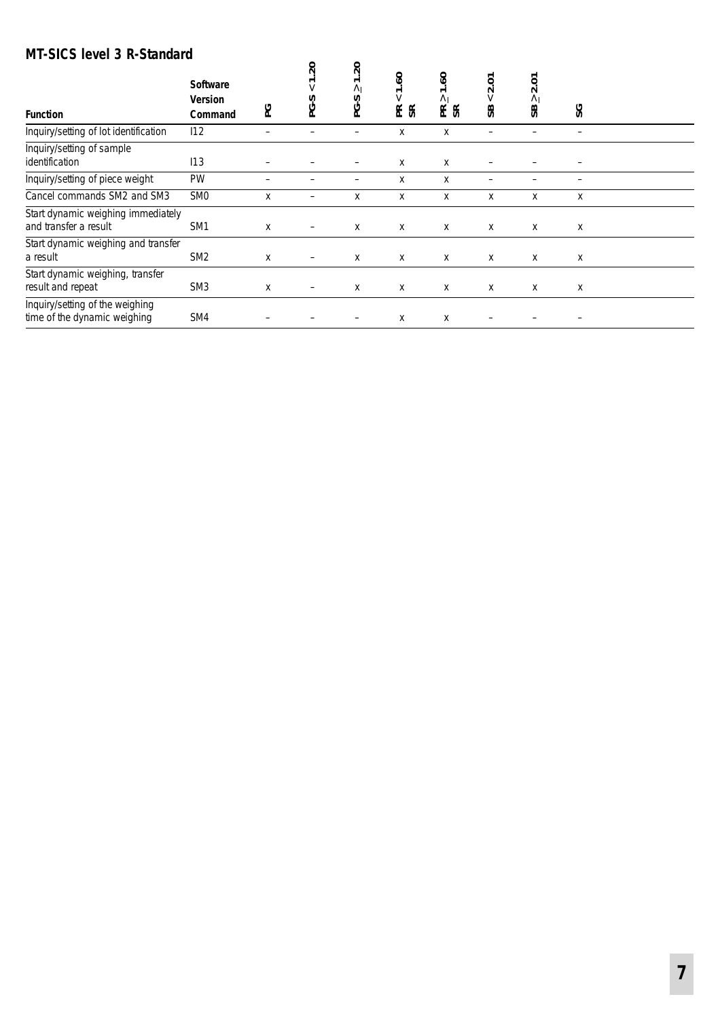## **MT-SICS level 3 R-Standard**

| <b>Function</b>                                                 | <b>Software</b><br><b>Version</b><br>Command | ဥ | $\overline{5}$<br>PG-S | $\overline{\mathcal{S}}$<br>$\overline{\phantom{0}}$<br>$\wedge$<br>ၯ<br>ڻ | $\mathbf{e}$<br>$\overline{ }$<br>$\vee$<br>$E_{\alpha}$ | $\mathcal{S}$<br>$\overline{\phantom{0}}$<br>$\wedge$<br>E & | Š<br>$\sim$<br>$\vee$<br>æ | ξ<br>$\sim$<br>$\wedge$<br>æ | SG |  |
|-----------------------------------------------------------------|----------------------------------------------|---|------------------------|----------------------------------------------------------------------------|----------------------------------------------------------|--------------------------------------------------------------|----------------------------|------------------------------|----|--|
| Inquiry/setting of lot identification                           | 112                                          |   |                        | -                                                                          | X                                                        | X                                                            | -                          |                              |    |  |
| Inquiry/setting of sample<br>identification                     | 113                                          |   |                        |                                                                            | X                                                        | X                                                            |                            |                              |    |  |
| Inquiry/setting of piece weight                                 | PW                                           |   |                        |                                                                            | X                                                        | X                                                            |                            |                              |    |  |
| Cancel commands SM2 and SM3                                     | <b>SMO</b>                                   | X |                        | X                                                                          | X                                                        | X                                                            | Χ                          | X                            | X  |  |
| Start dynamic weighing immediately<br>and transfer a result     | SM <sub>1</sub>                              | X | -                      | Х                                                                          | x                                                        | Χ                                                            | Χ                          | X                            | х  |  |
| Start dynamic weighing and transfer<br>a result                 | SM <sub>2</sub>                              | X |                        | X                                                                          | x                                                        | X                                                            | X                          | x                            | X  |  |
| Start dynamic weighing, transfer<br>result and repeat           | SM <sub>3</sub>                              | X | -                      | X                                                                          | х                                                        | X                                                            | х                          | X                            | х  |  |
| Inquiry/setting of the weighing<br>time of the dynamic weighing | SM4                                          |   |                        |                                                                            | Χ                                                        | Χ                                                            |                            |                              |    |  |